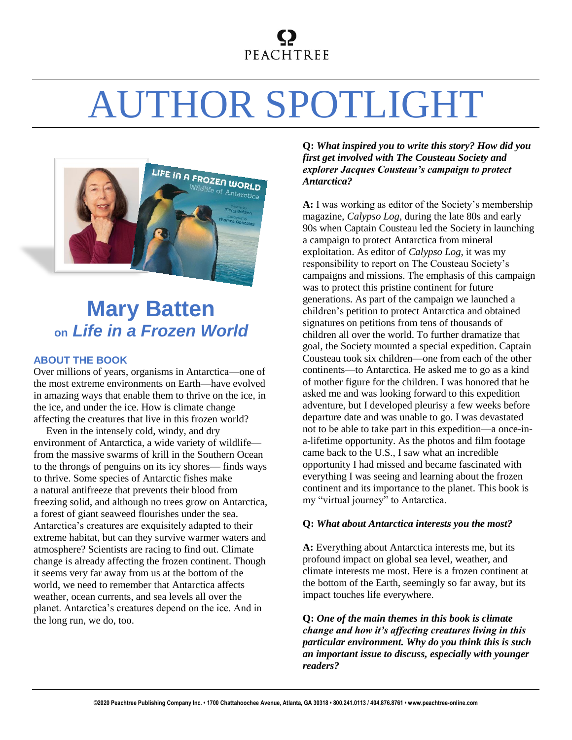## **PEACHTREE**

# AUTHOR SPOTLIGHT



### **Mary Batten on** *Life in a Frozen World*

#### **ABOUT THE BOOK**

Over millions of years, organisms in Antarctica—one of the most extreme environments on Earth—have evolved in amazing ways that enable them to thrive on the ice, in the ice, and under the ice. How is climate change affecting the creatures that live in this frozen world?

Even in the intensely cold, windy, and dry environment of Antarctica, a wide variety of wildlife from the massive swarms of krill in the Southern Ocean to the throngs of penguins on its icy shores— finds ways to thrive. Some species of Antarctic fishes make a natural antifreeze that prevents their blood from freezing solid, and although no trees grow on Antarctica, a forest of giant seaweed flourishes under the sea. Antarctica's creatures are exquisitely adapted to their extreme habitat, but can they survive warmer waters and atmosphere? Scientists are racing to find out. Climate change is already affecting the frozen continent. Though it seems very far away from us at the bottom of the world, we need to remember that Antarctica affects weather, ocean currents, and sea levels all over the planet. Antarctica's creatures depend on the ice. And in the long run, we do, too.

**Q:** *What inspired you to write this story? How did you first get involved with The Cousteau Society and explorer Jacques Cousteau's campaign to protect Antarctica?*

**A:** I was working as editor of the Society's membership magazine, *Calypso Log*, during the late 80s and early 90s when Captain Cousteau led the Society in launching a campaign to protect Antarctica from mineral exploitation. As editor of *Calypso Log*, it was my responsibility to report on The Cousteau Society's campaigns and missions. The emphasis of this campaign was to protect this pristine continent for future generations. As part of the campaign we launched a children's petition to protect Antarctica and obtained signatures on petitions from tens of thousands of children all over the world. To further dramatize that goal, the Society mounted a special expedition. Captain Cousteau took six children—one from each of the other continents—to Antarctica. He asked me to go as a kind of mother figure for the children. I was honored that he asked me and was looking forward to this expedition adventure, but I developed pleurisy a few weeks before departure date and was unable to go. I was devastated not to be able to take part in this expedition—a once-ina-lifetime opportunity. As the photos and film footage came back to the U.S., I saw what an incredible opportunity I had missed and became fascinated with everything I was seeing and learning about the frozen continent and its importance to the planet. This book is my "virtual journey" to Antarctica.

#### **Q:** *What about Antarctica interests you the most?*

**A:** Everything about Antarctica interests me, but its profound impact on global sea level, weather, and climate interests me most. Here is a frozen continent at the bottom of the Earth, seemingly so far away, but its impact touches life everywhere.

**Q:** *One of the main themes in this book is climate change and how it's affecting creatures living in this particular environment. Why do you think this is such an important issue to discuss, especially with younger readers?*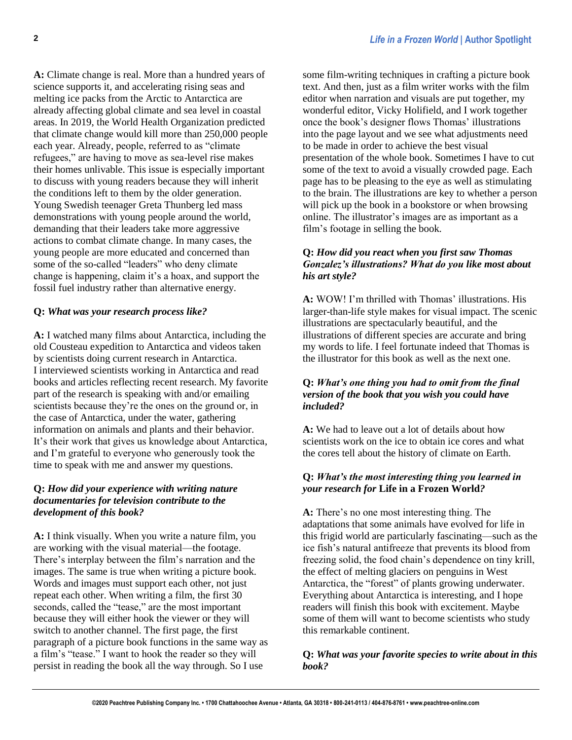**A:** Climate change is real. More than a hundred years of science supports it, and accelerating rising seas and melting ice packs from the Arctic to Antarctica are already affecting global climate and sea level in coastal areas. In 2019, the World Health Organization predicted that climate change would kill more than 250,000 people each year. Already, people, referred to as "climate refugees," are having to move as sea-level rise makes their homes unlivable. This issue is especially important to discuss with young readers because they will inherit the conditions left to them by the older generation. Young Swedish teenager Greta Thunberg led mass demonstrations with young people around the world, demanding that their leaders take more aggressive actions to combat climate change. In many cases, the young people are more educated and concerned than some of the so-called "leaders" who deny climate change is happening, claim it's a hoax, and support the fossil fuel industry rather than alternative energy.

#### **Q:** *What was your research process like?*

**A:** I watched many films about Antarctica, including the old Cousteau expedition to Antarctica and videos taken by scientists doing current research in Antarctica. I interviewed scientists working in Antarctica and read books and articles reflecting recent research. My favorite part of the research is speaking with and/or emailing scientists because they're the ones on the ground or, in the case of Antarctica, under the water, gathering information on animals and plants and their behavior. It's their work that gives us knowledge about Antarctica, and I'm grateful to everyone who generously took the time to speak with me and answer my questions.

#### **Q:** *How did your experience with writing nature documentaries for television contribute to the development of this book?*

**A:** I think visually. When you write a nature film, you are working with the visual material—the footage. There's interplay between the film's narration and the images. The same is true when writing a picture book. Words and images must support each other, not just repeat each other. When writing a film, the first 30 seconds, called the "tease," are the most important because they will either hook the viewer or they will switch to another channel. The first page, the first paragraph of a picture book functions in the same way as a film's "tease." I want to hook the reader so they will persist in reading the book all the way through. So I use

some film-writing techniques in crafting a picture book text. And then, just as a film writer works with the film editor when narration and visuals are put together, my wonderful editor, Vicky Holifield, and I work together once the book's designer flows Thomas' illustrations into the page layout and we see what adjustments need to be made in order to achieve the best visual presentation of the whole book. Sometimes I have to cut some of the text to avoid a visually crowded page. Each page has to be pleasing to the eye as well as stimulating to the brain. The illustrations are key to whether a person will pick up the book in a bookstore or when browsing online. The illustrator's images are as important as a film's footage in selling the book.

#### **Q:** *How did you react when you first saw Thomas Gonzalez's illustrations? What do you like most about his art style?*

**A:** WOW! I'm thrilled with Thomas' illustrations. His larger-than-life style makes for visual impact. The scenic illustrations are spectacularly beautiful, and the illustrations of different species are accurate and bring my words to life. I feel fortunate indeed that Thomas is the illustrator for this book as well as the next one.

#### **Q:** *What's one thing you had to omit from the final version of the book that you wish you could have included?*

**A:** We had to leave out a lot of details about how scientists work on the ice to obtain ice cores and what the cores tell about the history of climate on Earth.

#### **Q:** *What's the most interesting thing you learned in your research for* **Life in a Frozen World***?*

**A:** There's no one most interesting thing. The adaptations that some animals have evolved for life in this frigid world are particularly fascinating—such as the ice fish's natural antifreeze that prevents its blood from freezing solid, the food chain's dependence on tiny krill, the effect of melting glaciers on penguins in West Antarctica, the "forest" of plants growing underwater. Everything about Antarctica is interesting, and I hope readers will finish this book with excitement. Maybe some of them will want to become scientists who study this remarkable continent.

#### **Q:** *What was your favorite species to write about in this book?*